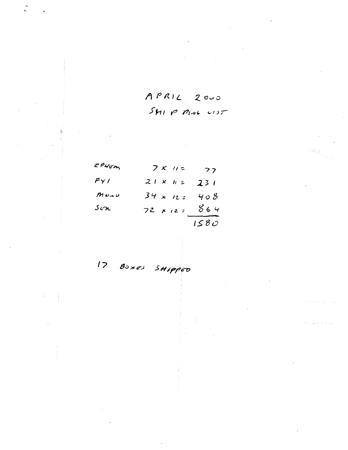$APRIL$  2000 SHIP PING UST

| EPHEM                     | $7x$ $11z$       | 77   |
|---------------------------|------------------|------|
| FY/                       | $21 \times h =$  | 231  |
| $M$ Un U                  | $34 \times 12$   | 408  |
| $\mathcal{S}e\mathcal{H}$ | $72 \times 12 =$ | 864  |
|                           |                  | 1580 |

17 BOXES SHIPPED

teta <sub>ba</sub>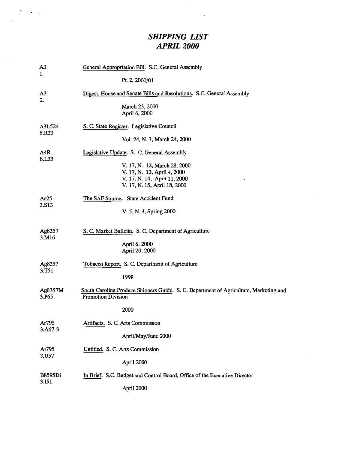## *SHIPPING LIST APRIL2000*

 $\bar{\phantom{a}}$ 

 $\mathcal{A} = \mathcal{A}$ 

÷

| A3<br>1.                | General Appropriation Bill. S.C. General Assembly                                                                  |  |  |
|-------------------------|--------------------------------------------------------------------------------------------------------------------|--|--|
|                         | Pt. 2, 2000/01                                                                                                     |  |  |
| A <sub>3</sub><br>2.    | Digest, House and Senate Bills and Resolutions. S.C. General Assembly                                              |  |  |
|                         | March 23, 2000<br>April 6, 2000                                                                                    |  |  |
| A3L524<br>8.R33         | S. C. State Register. Legislative Council                                                                          |  |  |
|                         | Vol. 24, N. 3, March 24, 2000                                                                                      |  |  |
| A4R<br>8.L33            | Legislative Update. S. C. General Assembly                                                                         |  |  |
|                         | V. 17, N. 12, March 28, 2000                                                                                       |  |  |
|                         | V. 17, N. 13, April 4, 2000                                                                                        |  |  |
|                         | V. 17, N. 14, April 11, 2000                                                                                       |  |  |
|                         | V. 17, N. 15, April 18, 2000                                                                                       |  |  |
| Ac25<br>3.S13           | The SAF Source. State Accident Fund                                                                                |  |  |
|                         | V. 5, N. 3, Spring 2000                                                                                            |  |  |
| Ag8357                  | S. C. Market Bulletin. S. C. Department of Agriculture                                                             |  |  |
| 3.M16                   |                                                                                                                    |  |  |
|                         | April 6, 2000<br>April 20, 2000                                                                                    |  |  |
| Ag8357<br>3.T51         | Tobacco Report. S. C. Department of Agriculture                                                                    |  |  |
|                         | 1999                                                                                                               |  |  |
| Ag8357M<br>3.P65        | South Carolina Produce Shippers Guide. S. C. Department of Agriculture, Marketing and<br><b>Promotion Division</b> |  |  |
|                         | 2000                                                                                                               |  |  |
| Ar795<br>3.A67-3        | Artifacts. S. C. Arts Commission                                                                                   |  |  |
|                         | April/May/June 2000                                                                                                |  |  |
| Ar795<br>3.U57          | Untitled. S. C. Arts Commission                                                                                    |  |  |
|                         | April 2000                                                                                                         |  |  |
| <b>B8595Di</b><br>3.I51 | In Brief. S.C. Budget and Control Board, Office of the Executive Director                                          |  |  |
|                         | April 2000                                                                                                         |  |  |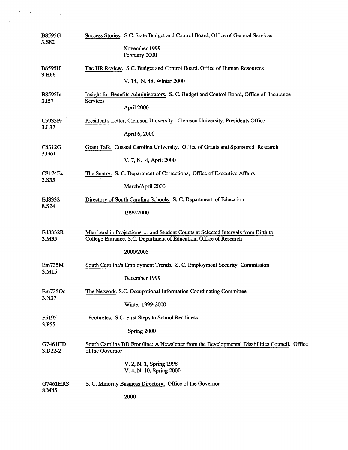| <b>B8595G</b><br>3.S82             | Success Stories. S.C. State Budget and Control Board, Office of General Services                                                                     |
|------------------------------------|------------------------------------------------------------------------------------------------------------------------------------------------------|
|                                    | November 1999<br>February 2000                                                                                                                       |
| <b>B8595H</b><br>3.H <sub>66</sub> | The HR Review. S.C. Budget and Control Board, Office of Human Resources                                                                              |
|                                    | V. 14, N. 48, Winter 2000                                                                                                                            |
| B8595In<br>3.I57                   | Insight for Benefits Administrators. S. C. Budget and Control Board, Office of Insurance<br><b>Services</b><br>April 2000                            |
| C5935Pr                            | President's Letter, Clemson University. Clemson University, Presidents Office                                                                        |
| 3.L37                              | April 6, 2000                                                                                                                                        |
| C6312G<br>3.G61                    | Grant Talk. Coastal Carolina University. Office of Grants and Sponsored Research                                                                     |
|                                    | V. 7, N. 4, April 2000                                                                                                                               |
| <b>C8174Ex</b><br>3.S35            | The Sentry. S. C. Department of Corrections, Office of Executive Affairs                                                                             |
|                                    | March/April 2000                                                                                                                                     |
| Ed8332<br>8.S24                    | Directory of South Carolina Schools. S. C. Department of Education                                                                                   |
|                                    | 1999-2000                                                                                                                                            |
| Ed8332R<br>3.M35                   | Membership Projections  and Student Counts at Selected Intervals from Birth to<br>College Entrance. S.C. Department of Education, Office of Research |
|                                    | 2000/2005                                                                                                                                            |
| Em735M<br>3.M15                    | South Carolina's Employment Trends. S. C. Employment Security Commission                                                                             |
|                                    | December 1999                                                                                                                                        |
| Em735Oc<br>3.N37                   | The Network. S.C. Occupational Information Coordinating Committee                                                                                    |
|                                    | Winter 1999-2000                                                                                                                                     |
| F5195<br>3.P55                     | Footnotes. S.C. First Steps to School Readiness                                                                                                      |
|                                    | Spring 2000                                                                                                                                          |
| G7461HD<br>3.D <sub>22</sub> -2    | South Carolina DD Frontline: A Newsletter from the Developmental Disabilities Council. Office<br>of the Governor                                     |
|                                    | V. 2, N. 1, Spring 1998<br>V. 4, N. 10, Spring 2000                                                                                                  |
| G7461HRS<br>8.M45                  | S. C. Minority Business Directory. Office of the Governor                                                                                            |
|                                    | 2000                                                                                                                                                 |

 $\label{eq:1} \begin{split} \mathcal{L}^{(1)}(X) &\stackrel{\text{def}}{=} \mathcal{L}^{(1)}(X) \otimes \mathcal{L}^{(1)}(X) \otimes \mathcal{L}^{(1)}(X) \otimes \mathcal{L}^{(1)}(X) \otimes \mathcal{L}^{(1)}(X) \otimes \mathcal{L}^{(1)}(X) \otimes \mathcal{L}^{(1)}(X) \otimes \mathcal{L}^{(1)}(X) \otimes \mathcal{L}^{(1)}(X) \otimes \mathcal{L}^{(1)}(X) \otimes \mathcal{L}^{(1)}(X) \otimes \mathcal{L}^{($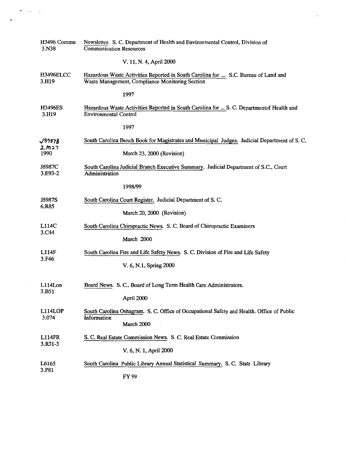| H3496 Commu<br>3.N38      | Newsletter. S. C. Department of Health and Environmental Control, Division of<br><b>Communication Resources</b>                       |  |
|---------------------------|---------------------------------------------------------------------------------------------------------------------------------------|--|
|                           | V. 11, N. 4, April 2000                                                                                                               |  |
| <b>H3496ELCC</b><br>3.H19 | Hazardous Waste Activities Reported in South Carolina for  S.C. Bureau of Land and<br>Waste Management, Compliance Monitoring Section |  |
|                           | 1997                                                                                                                                  |  |
| <b>H3496ES</b><br>3.H19   | Hazardous Waste Activities Reported in South Carolina for  S. C. Department of Health and<br><b>Environmental Control</b>             |  |
|                           | 1997                                                                                                                                  |  |
| J8987B                    | South Carolina Bench Book for Magistrates and Municipal Judges. Judicial Department of S. C.                                          |  |
| 2.1127<br>1990            | March 23, 2000 (Revision)                                                                                                             |  |
| J8987C<br>3.E93-2         | South Carolina Judicial Branch Executive Summary. Judicial Department of S.C., Court<br>Administration                                |  |
|                           | 1998/99                                                                                                                               |  |
| J8987S<br>6.R85           | South Carolina Court Register. Judicial Department of S.C.                                                                            |  |
|                           | March 20, 2000 (Revision)                                                                                                             |  |
| L114C<br>3.C44            | South Carolina Chiropractic News. S. C. Board of Chiropractic Examiners                                                               |  |
|                           | March 2000                                                                                                                            |  |
| L114F<br>3.F46            | South Carolina Fire and Life Safety News. S. C. Division of Fire and Life Safety                                                      |  |
|                           | V. 6, N.1, Spring 2000                                                                                                                |  |
| L114Lon                   | Board News. S. C Board of Long Term Health Care Administrators.                                                                       |  |
| 3.B51                     | April 2000                                                                                                                            |  |
| L114LOP                   | South Carolina Oshagram. S. C. Office of Occupational Safety and Health. Office of Public<br>Information                              |  |
| 3.074                     | March 2000                                                                                                                            |  |
| <b>L114PR</b><br>3.R31-3  | S. C. Real Estate Commission News. S. C. Real Estate Commission                                                                       |  |
|                           | V. 6, N. 1, April 2000                                                                                                                |  |
| L6165<br>3.P81            | South Carolina Public Library Annual Statistical Summary. S. C. State Library                                                         |  |
|                           | FY 99                                                                                                                                 |  |

,

 $\mathcal{F}(\mathcal{C})$ 

 $\mathcal{L}_{\mathcal{A}}$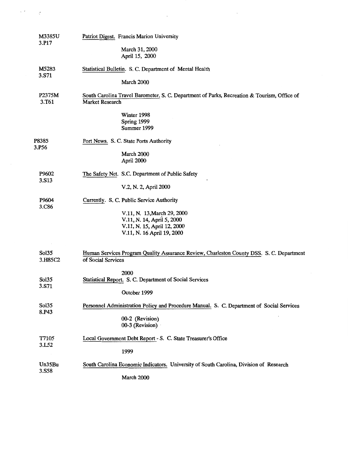| <b>M3385U</b><br>3.P17 | Patriot Digest. Francis Marion University                                                                              |
|------------------------|------------------------------------------------------------------------------------------------------------------------|
|                        | March 31, 2000<br>April 15, 2000                                                                                       |
| M5283                  | Statistical Bulletin. S. C. Department of Mental Health                                                                |
| 3.S71                  | March 2000                                                                                                             |
| P2375M<br>3.T61        | South Carolina Travel Barometer. S. C. Department of Parks, Recreation & Tourism, Office of<br><b>Market Research</b>  |
|                        | Winter 1998<br>Spring 1999<br>Summer 1999                                                                              |
| P8385                  | Port News. S. C. State Ports Authority                                                                                 |
| 3.P56                  | March 2000<br>April 2000                                                                                               |
| P9602                  | The Safety Net. S.C. Department of Public Safety                                                                       |
| 3.S13                  | V.2, N. 2, April 2000                                                                                                  |
| P9604                  | Currently. S. C. Public Service Authority                                                                              |
| 3.C86                  | V.11, N. 13, March 29, 2000<br>V.11, N. 14, April 5, 2000<br>V.11, N. 15, April 12, 2000<br>V.11, N. 16 April 19, 2000 |
| Sol35<br>3.H85C2       | Human Services Program Quality Assurance Review, Charleston County DSS. S. C. Department<br>of Social Services         |
| Sol35<br>3.S71         | 2000<br>Statistical Report. S. C. Department of Social Services<br>October 1999                                        |
| Sol35                  | Personnel Administration Policy and Procedure Manual. S. C. Department of Social Services                              |
| 8.P43                  | 00-2 (Revision)<br>00-3 (Revision)                                                                                     |
| T7105                  | Local Government Debt Report - S. C. State Treasurer's Office                                                          |
| 3.L52                  | 1999                                                                                                                   |
| Un35Bu                 | South Carolina Economic Indicators. University of South Carolina, Division of Research                                 |
| 3.S58                  | March 2000                                                                                                             |

 $\mathcal{A}^{\text{max}}$ 

 $\mathcal{L}^{\text{max}}_{\text{max}}$ 

 $\mathcal{F}^{\text{max}}_{\text{max}}(\mathcal{L}_{\text{max}})$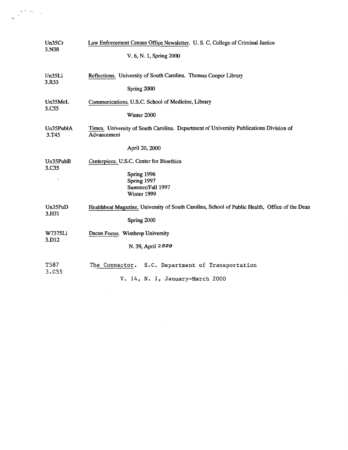| Un35Cr<br>3.N38                | Law Enforcement Census Office Newsletter. U.S.C. College of Criminal Justice                          |  |  |
|--------------------------------|-------------------------------------------------------------------------------------------------------|--|--|
|                                | V. 6, N. 1, Spring 2000                                                                               |  |  |
| Un35Li<br>3.R33                | Reflections. University of South Carolina. Thomas Cooper Library                                      |  |  |
|                                | Spring 2000                                                                                           |  |  |
| Un35MeL<br>3.C55               | Communications. U.S.C. School of Medicine, Library                                                    |  |  |
|                                | Winter 2000                                                                                           |  |  |
| Un35PublA<br>3.T <sub>45</sub> | Times. University of South Carolina. Department of University Publications Division of<br>Advancement |  |  |
|                                | April 20, 2000                                                                                        |  |  |
| Un35PubB<br>3.C35              | Centerpiece. U.S.C. Center for Bioethics                                                              |  |  |
|                                | Spring 1996<br>Spring 1997                                                                            |  |  |
|                                | Summer/Fall 1997                                                                                      |  |  |
|                                | Winter 1999                                                                                           |  |  |
| Un35PuD<br>3.H31               | Healthbeat Magazine. University of South Carolina, School of Public Health, Office of the Dean        |  |  |
|                                | Spring 2000                                                                                           |  |  |
| W7375Li<br>3.D12               | Dacus Focus. Winthrop University                                                                      |  |  |
|                                | N. 39, April 2000                                                                                     |  |  |
| T587<br>3.C55                  | S.C. Department of Transportation<br>The Connector.                                                   |  |  |
|                                | V. 14, N. 1, January-March 2000                                                                       |  |  |
|                                |                                                                                                       |  |  |

 $\mathcal{L}^{\text{max}}_{\text{max}}$ 

 $\mathcal{E}^{(2)}$  and  $\mathcal{E}^{(2)}$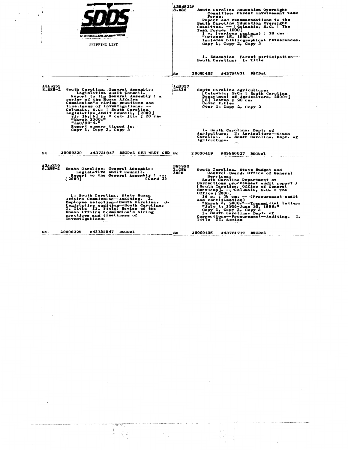|                           | <b>S.C. STATE DOCUMENTS DEPOSITORY SYSTEM</b><br>agas a ser men i capa<br>SHIPPING LIST                                                                                                                                                                                                                                                                     | <b>A3Ed832P</b><br>8.R36       | South Carolina Education Oversight<br>Committee. Parent Involvement Task<br>Force.<br>Report and recommendations to the<br>South Carolina Education Oversight<br>Committee. -- [Columbia, S.C. : The<br>Task Force, 1999]<br>1 v. (various pagings) : 28 cm.<br>"October 15, 1999."<br>Includes bibliographical refeerences.<br>Copy $1$ , Copy $2$ , Copy $3$<br>1. Education--Parent participation--<br>South Carolina. I. Title |
|---------------------------|-------------------------------------------------------------------------------------------------------------------------------------------------------------------------------------------------------------------------------------------------------------------------------------------------------------------------------------------------------------|--------------------------------|------------------------------------------------------------------------------------------------------------------------------------------------------------------------------------------------------------------------------------------------------------------------------------------------------------------------------------------------------------------------------------------------------------------------------------|
|                           |                                                                                                                                                                                                                                                                                                                                                             | Sc                             | 20000405<br>#43781871 DSCDsl                                                                                                                                                                                                                                                                                                                                                                                                       |
| A3A u255<br>$8 - 185 - 2$ | South Carolina. General Assembly.<br>Legislative Audit Council.<br>Report to the General Assembly: a<br>review of the Human Affairs<br>Commission's hiring practices and<br>timeliness of investigations. --<br>Columbia, S.C. : South Carolina<br>Legislative Audit council. [2000]<br>vi, 16, [6] p. : col. ill. ; 28 cm.<br>"March 2000."<br>"LAC/99-4." | As 357<br>2.A36                | South Carolina agriculture. --<br>Columbia, S.C. : South Carolina<br><b>Department of Agriculture, 2000?]</b><br>[8] leaves ; 28 сщ.<br>Cover title.<br>Copy 1, Copy 2, Copy 3                                                                                                                                                                                                                                                     |
|                           | Report sumary tipped in.<br>Copy 1, Copy 2, Copy 3                                                                                                                                                                                                                                                                                                          |                                | 1. South Carolina. Dept. of<br>Agriculture. 2. Agriculture-South<br>Carolina. I. South Carolina. Dept. of<br>Agriculture.                                                                                                                                                                                                                                                                                                          |
| Sc                        | 20000329<br>#43731947 DSCDsl SEE NEXT CRD Sc                                                                                                                                                                                                                                                                                                                |                                | 20000419<br>#43890027 DSCDsl                                                                                                                                                                                                                                                                                                                                                                                                       |
| A3Au255<br>8. н 85-2      | South Carolina. General Assembly.<br>Legislative Audit Council.<br>Report to the General Assembly :<br>[ 2000 ]<br>(Card 2)                                                                                                                                                                                                                                 | <b>B8595G</b><br>2.C56<br>2000 | South Carolina. State Budget and<br>Control: Board. Office of General<br>Services.<br>South Carolina Department of<br>Corrections procurement audit report /<br>[South Carolina, Office of General                                                                                                                                                                                                                                 |
|                           | 1. South Carolina. State Human<br>Affairs Commission--Auditing. 2.<br>Employee selection--South Carolina.<br>з.<br>Legislative auditing-South Carolina.<br>I. Title II. Title: Review of the<br>Human Affairs Commission's hiring<br>practices and timeliness of<br>investigations.                                                                         |                                | Services]. -- Columbia, S.C. : The<br>Office [2000]<br>16 p. ; 28 cm. -- (Procurement audit<br>and certification)<br>"March 3, 2000."--Transmittal letter.<br>"July 1, 1996-June 30, 1999."<br>Copy 1, Copy 2, Copy 3<br>1. South Carolina. Dept. of<br>Corrections--Procurement--Auditing. I.<br><b>Title II. Series</b>                                                                                                          |
| $\mathbf{Sc}$ .           | 20000329<br>#43731947 DSCDsl                                                                                                                                                                                                                                                                                                                                | Sc.                            | 20000405<br>#43781719 DSCDsl                                                                                                                                                                                                                                                                                                                                                                                                       |

 $\hat{\mathcal{A}}$ 

 $\hat{\mathcal{A}}$ 

 $\mathcal{L}^{\mathcal{L}}$ 

 $\hat{\mathcal{L}}$ 

 $\hat{\mathcal{L}}$ 

 $\mathcal{L}_{\mathcal{C}}$ 

 $\sim 10^6$ 

 $\frac{1}{\sqrt{2}}$ 

 $\mathcal{L}_{\text{eff}}$ 

 $\begin{bmatrix} \mathbf{v}_1 \\ \mathbf{v}_2 \\ \vdots \end{bmatrix}$ 

 $\cdot$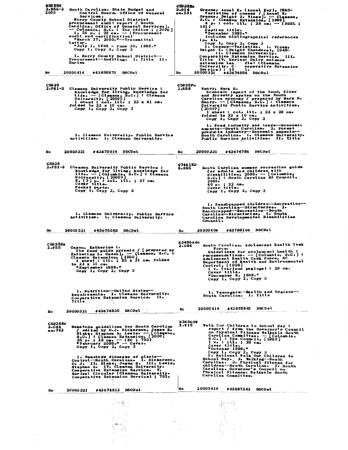| 883 039<br>2.H56–2<br>2000<br>Sc | South Carolina. State Budget and<br>Control Board. Office of General<br>Services.<br>Horry County School District<br>procurement audit report / South<br>Carolina, Office of General Services].<br>-- Columbia, S.C. : The Office ; [2000]<br>-- 1, 26 p. : 28 cm. -- (Procurement<br>audit and certification)<br>- "March 27, 2000."--Transmittal<br>letter.<br>"July 1, 1995 - June 30, 1998."<br>Copy 1, Copy 2, Copy 3<br>1. Horry County School District--<br>Procurement--Auditing. I. Title II.<br>Series<br>20000414<br>#43855871 DSCDsl | C99 JBEX .<br>3.D14<br>no. 101<br>Sc | Greens, Annel I. (Annel Kay), 1960-<br>Varieties of cheese / (Annel K.<br>Greens, Dwight T. Vines). - Clemson,<br>S.C. : Clemson Britension, (1999).<br>$4$ p. : col. ill. ; 28 cm. - (DSEL ;<br>101 )<br>Caption title.<br>"December 1999."<br>Includes bibliographical references<br>$(p - 4)$<br>Copy: 1, Copy 2, Copy 3<br>1. Cheese-Varieties. I. Vines,<br>Dwight I. (Dwight Theodore), 1945-<br>II. Clemson University.<br>Cooperative Extension Service.<br>111.<br>Title IV. Series: Dairy science<br>extension lea - flet (Clemson<br>University. C cooperative Experience) : 10<br>Service) : 10<br>1.<br>coperative Extension<br>20000321 #43674854 DSCDsl |
|----------------------------------|--------------------------------------------------------------------------------------------------------------------------------------------------------------------------------------------------------------------------------------------------------------------------------------------------------------------------------------------------------------------------------------------------------------------------------------------------------------------------------------------------------------------------------------------------|--------------------------------------|------------------------------------------------------------------------------------------------------------------------------------------------------------------------------------------------------------------------------------------------------------------------------------------------------------------------------------------------------------------------------------------------------------------------------------------------------------------------------------------------------------------------------------------------------------------------------------------------------------------------------------------------------------------------|
| C5935<br>2.P81-2                 | Clemson University Public Service:<br>chowledge for living, knowledge for<br>life. - [Clemson, S.C.] : Clemson<br>University, [2000?]<br>1 sheet : col., ll. : 23 x 41 cm.<br>folded to $23 \times 10$ cm.<br>Copy $i_2$ , Copy $2_2$ , Copy $3$<br>1. Clemson University. Public Service                                                                                                                                                                                                                                                        | C5935Pu<br>2.558                     | Henry, Mark S.<br><b>Economic impact of the food, fiber</b><br>and forestry system on the South<br>Carolina economy / prepared by Mark S.<br>Henry. -- [ Clemson, S.C. ] : Clemson<br>University Public Service Activities,<br>[20002]<br>1 sheet : col. ill. ; 22 x 28 cm.<br>folded to $22 \times 10$ cm.<br>Copy 1, Copy 2, Copy 3<br>1. Food industry and trade-Boonomic<br>aspects--South Carolina. 2. Forest<br>products industry--Economic aspects--<br>South Carolina. I. Clemson University.                                                                                                                                                                  |
|                                  | Activities. I. Clemson University.                                                                                                                                                                                                                                                                                                                                                                                                                                                                                                               |                                      | Public Service Activities. II. Title                                                                                                                                                                                                                                                                                                                                                                                                                                                                                                                                                                                                                                   |
| Sc                               | 20000321<br>#43675014<br><b>DSCDsL</b>                                                                                                                                                                                                                                                                                                                                                                                                                                                                                                           | Sc                                   | 20000321<br>#43674786<br><b>DSCDsl</b>                                                                                                                                                                                                                                                                                                                                                                                                                                                                                                                                                                                                                                 |
| C5935                            | 2.P81-3 Clemson University Public Service :<br>knowledge for living, knowledge for<br>life. -- [Columbia, S.C.] : Cleason<br>University, [2000?]<br>9, [3] p. : col. ill. ; 27 cm.<br>Cower title.<br>Pocket parts.<br>Copy 1, Copy 2, Copy 3                                                                                                                                                                                                                                                                                                    | G7461HD<br>8.885                     | South Carolina summer recreation guide<br>for adults and children with<br>disabilities, 2000. -- [Columbia],<br>S.C.] : South Carolina DD Council,<br>2000.<br>$40$ p. $\frac{1}{2}$ $22$ cm.<br>Cover title.<br>Copy 1, Copy 2, Copy 3                                                                                                                                                                                                                                                                                                                                                                                                                                |
|                                  | 1. Clemson University. Public Service<br>Activities. I. Clemson University.                                                                                                                                                                                                                                                                                                                                                                                                                                                                      |                                      | 1. Handicapped children--Recreation--<br>South Carolina--Directories.<br>2.<br>Handicapped--Recreation--South<br>Carolina--Directories. I. South<br>Carolina Developmental Disabilities<br>Council.                                                                                                                                                                                                                                                                                                                                                                                                                                                                    |
| Sc.                              | 20000321<br>#43675083 DSCDsl                                                                                                                                                                                                                                                                                                                                                                                                                                                                                                                     | Sc                                   | #43790104 DSCDsl<br>20000406                                                                                                                                                                                                                                                                                                                                                                                                                                                                                                                                                                                                                                           |
| C5935Ex<br>2.F55                 | Cason, Katherine L.<br>The food guide pyramid / [prepared by<br>Estherine L. Cason], --- Clemson, S.C. :<br>Clemson Extension, 1999]<br>1 sheet: ill. : 23 x 31 cm. folded<br>to 23 x 11 cm.<br>"September 1999."<br>Copy i, Copy 2, Copy 3                                                                                                                                                                                                                                                                                                      | <b>H3496Ado</b><br>2.G84             | South Carolina. Adolescent Health Task<br>Force.<br>Guidelines for adolescent health :<br>recommendations. -- [Columbia, S.C.] :<br>Adolescent Health Task Force, SC<br>Department of Health and Environmental<br>Control, [1999]<br>l v. (various pagings) : 28 cm.<br>Cover title.<br>"December 8, 1999."<br>Copy 1, Copy 2, Copy 3                                                                                                                                                                                                                                                                                                                                  |
|                                  | 1. Nutrition--United States--<br>Requirements. I. Clemson University.<br>Cooperative Extension Service. II.<br>Title                                                                                                                                                                                                                                                                                                                                                                                                                             |                                      | 1. Teenagers--Health and hygiene--<br>South Carolina. I. Title                                                                                                                                                                                                                                                                                                                                                                                                                                                                                                                                                                                                         |
| Sc                               | #43674930 DSCDsl<br>20000321                                                                                                                                                                                                                                                                                                                                                                                                                                                                                                                     | Sc                                   | 20000414 #43855883 DSCDsl<br>the contract of the contract of the company of the contract of the contract of the contract of the contract of                                                                                                                                                                                                                                                                                                                                                                                                                                                                                                                            |
| C5935Bx<br>3.C46<br>no. 703      | Nematode guidelines for South Carolina<br>" edited by OsJs Dickerson, James R.<br>Blake, Stephen As Lewiss -- [Clemson,<br>Blake, Stephen As Lewiss -- [Clemson,<br>35 ps : 28 cms -- [EC ; 703)<br>"February 2000." -- Cover.<br>Copy $1$ , Copy $2$ , Copy $3$<br>1. Nematode diseases of plants--<br>Control -- South Carolina. I. Dickerson,<br>Stephen A. IV. Clemen Bally - Hill Lewis,<br>Cooperative Extension Services. V.<br>Series: Circular (Clemson University.                                                                     | H3496GW<br>2.W15                     | Walk Our Children To School Day :<br>report / from the Governor's Council<br>on Physical Pitness Walkable South<br>Carolina Committee. -- [Columbia,<br>S.C., : The Council, [1999]<br>Iv. : ill. ; 28 cm.<br>Cover title.<br>"October 1999."<br>Copy 1, Copy 2, Copy 3<br>1. National Walk Our Children to<br>School Day. 2. Walking-South<br>Carolina. 3. Physical fitness for<br>children-South Carolina. I. South<br>Carolina. Governor's Council on<br>Physical Fitness. Walkable South<br>Carolina Committee.                                                                                                                                                    |
|                                  | Cooperative Extension Service) ; 703.                                                                                                                                                                                                                                                                                                                                                                                                                                                                                                            |                                      |                                                                                                                                                                                                                                                                                                                                                                                                                                                                                                                                                                                                                                                                        |
| Sc                               | #43674812 DSCDsl<br>20 000 321                                                                                                                                                                                                                                                                                                                                                                                                                                                                                                                   | 'Sc                                  | 20000419<br>#43887242 DSCDsl                                                                                                                                                                                                                                                                                                                                                                                                                                                                                                                                                                                                                                           |
|                                  | 化环烷酸<br>i da ve                                                                                                                                                                                                                                                                                                                                                                                                                                                                                                                                  |                                      | 짧혀<br>노르                                                                                                                                                                                                                                                                                                                                                                                                                                                                                                                                                                                                                                                               |
|                                  |                                                                                                                                                                                                                                                                                                                                                                                                                                                                                                                                                  |                                      |                                                                                                                                                                                                                                                                                                                                                                                                                                                                                                                                                                                                                                                                        |

 $\begin{pmatrix} \mathbf{v}^T \\ \mathbf{v}^T \\ \mathbf{v}^T \end{pmatrix}$ 

 $\ddot{\phantom{0}}$ 

 $\ddot{\phantom{0}}$ 

 $\frac{1}{\sqrt{2}}$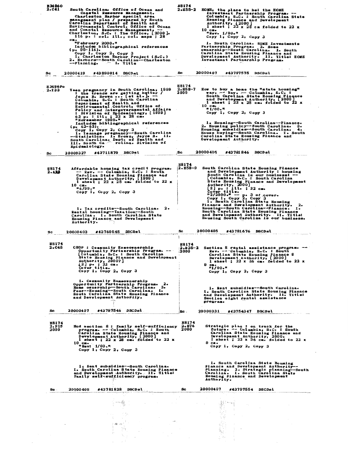| <b>H34960</b><br>2.C41        | South Carolina. Office of Ocean and<br>Coastal Resource Management.<br>Charleston Harbor special area<br>management plan / prepared by South<br>Carolina Department of Health and<br>Environmental Control, Office of Ocean<br>and Coastal Resource Management, --<br>Charleston, S.C. : The Office, [2000].<br>116 p. : col. Ill., col. maps ; 28<br>cm.<br>"February 2000."<br>Includes bibliographical references<br>$(p. 95-116)$<br>Copy 1, Copy 2, Copy 3<br>1. Charleston Harbor Project (S.C.)<br>2. Harbors--South Carolina--Charleston<br>--Planning. - I. Title                                                                                  | <b>H8174</b><br>2.155–2        | HOME, the place to be: the HOME<br>Investment Partnership Program. --<br>Columbia, S.C. : South Carolina State<br>Housing Pinance and Development<br>Authority, $\begin{bmatrix} 2000 \\ 1 \end{bmatrix}$<br>1 sheet; $22 \times 28$ cm folded to 22 x<br>$10 \text{ cm}$<br>"Rev. 1/00."<br>$Copy 1$ , $Copy 2$ , $Copy 3$<br>1. South Carolina. HOME Investments<br>Partnership Program. 2. Home<br>ownership--South Carolina. I. South<br>Carolina State Housing Finance and<br>Development Authority. II. Title: HOME<br>Investment Partnership Program.                           |
|-------------------------------|-------------------------------------------------------------------------------------------------------------------------------------------------------------------------------------------------------------------------------------------------------------------------------------------------------------------------------------------------------------------------------------------------------------------------------------------------------------------------------------------------------------------------------------------------------------------------------------------------------------------------------------------------------------|--------------------------------|----------------------------------------------------------------------------------------------------------------------------------------------------------------------------------------------------------------------------------------------------------------------------------------------------------------------------------------------------------------------------------------------------------------------------------------------------------------------------------------------------------------------------------------------------------------------------------------|
| Sc                            | 20000419<br>#43890014 DSCDsl                                                                                                                                                                                                                                                                                                                                                                                                                                                                                                                                                                                                                                | Sc .                           | 20000407<br>#43797575 DSCDsl                                                                                                                                                                                                                                                                                                                                                                                                                                                                                                                                                           |
| н 3496Ро<br>2.133             | Teen pregnancy in South Carolina, 1999<br>: the trends are getting better /<br>Joyce B. Brown  Let al. j. --<br>Columbia, S.C. : South Carolina<br>Department of Health and<br>Environmental Control, Office of.<br>Policy and Intergovernmental Affairs<br>: Division of Epidemiclogy, [1999]<br>63 p. : ill. 1 22 x 28 cm.<br>"Novemeber 1999."<br>Includes bibliographical references<br>$(p_0 \t62 - 63)$<br>Copy 1, Copy 2, Copy 3<br>I. Teenage pregnancy--South Carolina<br>South Carolina. Dept. Of Bealth and<br>South Carolina. Dept. of Bealth and<br>Boidemicle. Folina. Division of<br>Boidemicle. Folina. Division of<br><b>Epidemiology.</b> | H8174<br>2.858-7<br>2000       | How to buy a home the "state housing"<br>way. $-$ Rev. $-$ Columbia, S.C. :<br>South Carolina State Housing Finance<br>and Development Authority, $\begin{bmatrix} 2000 \\ 1 \end{bmatrix}$<br>1 sheet; 22 x 28 cm. folded to 22 x<br>$10$ cm.<br>"1/00."<br>Copy 1, Copy 2, Copy 3<br>1. Housing-South Carolina--Finance.<br>2. Housing policy--South Carolina. 3.<br>Housing subsidies--South Carolina. 4.<br>House buying--South Carolina. I. South<br>Carolina State Housing Pinance and<br>Development Authority.                                                                 |
| Sc                            | #43711870 DSCDsl<br>20000327                                                                                                                                                                                                                                                                                                                                                                                                                                                                                                                                                                                                                                | Sc                             | 20000405<br>#43781846 DSCDsl                                                                                                                                                                                                                                                                                                                                                                                                                                                                                                                                                           |
| 88174<br>2. A33               | Affordable housing tax credit program.<br>-- Rev. -- Columbia, S.C. : South<br>Carolina State Housing Finance and<br>Development Authority, [1999]<br>1 sheet; $22 \times 28$ cm. folded to $22 \times$<br>10 cm.<br>"6/99."<br>Copy 1, Copy 2, Copy 3<br>1. Tax credits--South Carolina. 2.<br>Rental housing--Taxation--South<br>Carolina. I. South Carolina State<br>Housing Finance and Development<br>Authority.                                                                                                                                                                                                                                       | H8174<br>2.H58-9               | South Carolina State Housing Finance<br>and Development Authority : housing<br>South Carolina is our business! --<br>[Columbia, S.C. : South Carolina<br>State Housing Pinance and Development<br>Authority, 2000]<br>(8] p. : ill. ; 22 cm.<br>Cover title.<br>"2/2000." - p. 3 of cover.<br>Copy 1, Copy 2, Copy 3<br>1. South Carolina State Housing<br>Finance and Development Authority. 2.<br>Housing--South Carolina--Finance. I.<br>$\mathbf{z}$ .<br>South Carolina State Housing Finance<br>and Development Authority. II. Title:<br>Housing South Carolina is our business. |
| Sc                            | 20000403<br>#43760545 DSCSsl                                                                                                                                                                                                                                                                                                                                                                                                                                                                                                                                                                                                                                | Sc                             | 20000405<br>#43781676 DSCDsl                                                                                                                                                                                                                                                                                                                                                                                                                                                                                                                                                           |
| <b>H8174</b><br>$2 - C45$     | CHOP : Community Homeownership<br>Opportunity Partnership Program. --<br>Columbia, S.C. : South Carolina<br>and Developm<br><b>State Housing</b><br>Finance<br>Authority, $20007$ ]<br>$[2]$ P. ; 22 cm.<br>Cover title.<br>Copy $1$ , Copy $2$ , Copy $3$                                                                                                                                                                                                                                                                                                                                                                                                  | H8174<br>2000                  | $2.235-2$ Section 8 rental assistance programs $-$<br>Rev. -- Columbia, S.C. : South<br>Carolina State Housing Finance S<br>Development Authority, {2000]<br>1 sheet; $22 \times 36$ cm. folded to $22 \times$<br>9 cm.<br>"1/00."<br>Copy 1, Copy 2, Copy 3                                                                                                                                                                                                                                                                                                                           |
|                               | 1. Csamunity Homeownership<br>Opportunity Partnership Program.<br>Home ownership-South Carolina.<br>Poor-Bousing-South Carolina.<br>South Carolina State Housing Finance<br>and Development Authority.                                                                                                                                                                                                                                                                                                                                                                                                                                                      |                                | 1. Rent subsidies--South Carolina.<br>I. South Carolina State Housing Finance<br>and Development Authority. II. Title:<br>Section eight rental assistance<br>program.                                                                                                                                                                                                                                                                                                                                                                                                                  |
| Sc                            | 20000407<br>#43787546 DSCDsl                                                                                                                                                                                                                                                                                                                                                                                                                                                                                                                                                                                                                                | Sc.                            | 20000331 #43754347 DSCDsl                                                                                                                                                                                                                                                                                                                                                                                                                                                                                                                                                              |
| <b>H8174</b><br>2.F15<br>2000 | Hud section 8: family self-sufficiency<br>program. -- Columbia, S.C. : South<br>Carolina State Housing Finance and<br>Development Authority, [2000]<br>1 sheet; $22 \times 28$ cm. folded to $22 \times$<br>$10 \, \text{cm}$<br>$n$ Rev: $1/00$ .<br>Copy $1$ , Copy $2$ , Copy $3$                                                                                                                                                                                                                                                                                                                                                                        | <b>H8174</b><br>2. s76<br>2000 | Strategic plan : on track for the<br>future. -- Columbia, S.C. : South<br>Carolina State Housing Finance and Development Authority, 2000.<br>1 sheet; $22 \times 36$ cm. folded to $22 \times$<br>$9 \text{ ca.}$<br>Copy $1_2$ , Copy $2_2$ , Copy 3                                                                                                                                                                                                                                                                                                                                  |
|                               | 1. Rent subsidies--South Carolina.<br>I. South Carolina State Housing Finance<br>and Development Authority. II. Title:<br>Family self-sufficiency program.                                                                                                                                                                                                                                                                                                                                                                                                                                                                                                  |                                | 1. South Carolina State Housing<br>Financs and Development Authority---<br>Planning. 2. Strategic planning--South<br>Carolina. I. South Carolina State<br>Housing Finance and Development<br>Authority.                                                                                                                                                                                                                                                                                                                                                                                |
| Sc.                           | 20000405<br>#43781828 DSCDsl                                                                                                                                                                                                                                                                                                                                                                                                                                                                                                                                                                                                                                | Sc                             | 20000407<br>#43797554 DSCDsl                                                                                                                                                                                                                                                                                                                                                                                                                                                                                                                                                           |
|                               | A.<br>an digital se<br><b>Contractor</b><br>$\lesssim 500$ and $^{-1}$<br>$1 - \tilde{m}_1$                                                                                                                                                                                                                                                                                                                                                                                                                                                                                                                                                                 |                                | 新门                                                                                                                                                                                                                                                                                                                                                                                                                                                                                                                                                                                     |

 $\ell = 0.01$  .

 $\ddot{\phantom{0}}$ 

 $\bar{\beta}$ 

 $\mathcal{L}_{\mathcal{A}}$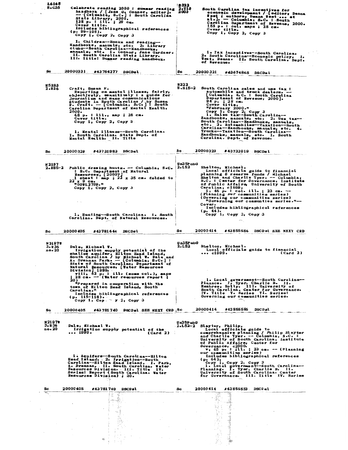| L6165<br>8. 635<br>$\mathbf{r}$       | Celebrate reading 2000 : summer reading<br>haadbook / [Jane G. Connor, editor].<br>State Library, 2000.<br>138 p. : ill. ; 29 cm.<br>Cover title.<br>Includes bibliographical references<br>(р. 99—105).<br>$\texttt{Copy 1, Copy 2, Copy 3}$<br>1. Children--Books and reading-                                                                                                                                                                                                                                                                                             | 2322<br>$\frac{2.119}{2000}$<br>South Carolina tax incentives for<br>economic development / [editor, Deana<br>West : authors, Deana West  et<br>al.  Columbia, S.C. : South<br>Carolina Department of Revenue, 2000.<br>158 p. : col. maps ; 28 cm.<br>Cover title.<br>Copy 1, Copy 2, Copy 3                                                                                                                                                                                                                                                                                         |
|---------------------------------------|------------------------------------------------------------------------------------------------------------------------------------------------------------------------------------------------------------------------------------------------------------------------------------------------------------------------------------------------------------------------------------------------------------------------------------------------------------------------------------------------------------------------------------------------------------------------------|---------------------------------------------------------------------------------------------------------------------------------------------------------------------------------------------------------------------------------------------------------------------------------------------------------------------------------------------------------------------------------------------------------------------------------------------------------------------------------------------------------------------------------------------------------------------------------------|
|                                       | Handbooks, manuals, etc. 2. Library<br>clubs--South Carolina--Handbooks,<br>manuals, etc. I. Connor, Jane Gardner.<br>II. South Carolina State Library.<br>III. Title: Summer reading handbook.                                                                                                                                                                                                                                                                                                                                                                              | 1. Tax incentives--South Carolina.<br>2. South Carolina-Beonomic policy. I.<br>West, Deana. II. South Carolina. Dept.<br>of Revenue.                                                                                                                                                                                                                                                                                                                                                                                                                                                  |
| Sc.                                   | 20000331<br>#43754277<br><b>DSCDsL</b>                                                                                                                                                                                                                                                                                                                                                                                                                                                                                                                                       | Sc<br>20000321<br>#43674868 DSCDsl                                                                                                                                                                                                                                                                                                                                                                                                                                                                                                                                                    |
| <b>M5283</b><br>2.R36                 | Craft, Susan F.<br>Reporting on mental illness, fairly,<br>objectively, sensitively: a guide for<br>journalism and mass communications<br>students in South Carolina / by Susan<br>F. Craft. -- [Columbia, S.C.] : South<br>Carolina Department of Mental Health,<br>2000.<br>68 p. : ill., map ; 28 cm.<br>Cover title.<br>Copy 1, Copy 2, Copy 3<br>1. Mental illness--South Carolina.<br>I. South Carolina. State Dept. of<br>Mental Health. II. Title                                                                                                                    | R322<br>$8 - 515 - 2$<br>South Carolina sales and use tax :<br>automobile and truck dealers. -<br>[Columbia, S.C. : South Carolina<br>Department of Revenue, 2000].<br>94 р. ; 28 ст.<br>Cover title.<br>"February 2000."<br>Copy 1, Copy 2, Copy 3<br>1. Sales tax--South Carolina--<br>Handbooks, manuals, etc. 2. Use tax--<br>South Carolina--Handbooks, manuals,<br>etc. 3. Automobiles-Taxation--South<br>Carolina--Handbooks, manuals, etc.<br>4.<br>Trucks--Taxation-South Carolina--<br>Handbooks, manuals, etc. I. South<br>Carolina. Dept. of Revenue.                     |
| Sc                                    | 20000329<br>#43731983 DSCDsl                                                                                                                                                                                                                                                                                                                                                                                                                                                                                                                                                 | Sc.<br>20000329<br>#43732019 DSCDsl                                                                                                                                                                                                                                                                                                                                                                                                                                                                                                                                                   |
| N 2197<br>2.885-2                     | Public drawing hunts. -- Columbia, S.C.<br>: S.C. Department of Natural<br>Resources, [2000?]<br>1 sheet: map ; $22 \times 35$ cm. folded to<br>$22 \times 9$ cm.<br>"00WL2799."<br>Copy 1, Copy 2, Copy 3<br>l. Hunting--South Carolina. I. South<br>Carolina. Dept. of Natural Resources.                                                                                                                                                                                                                                                                                  | Un35PubG<br>2.L52<br>Shelton, Michael.<br>Local officials guide to financial<br>planning & reserve funds / Michael<br>Shelton and Charlie Tyer. -- Columbia,<br>S.C. : Center for Governance, Institute<br>of Public Affairs, University of South<br>Carolina, c1999.<br>i, 46 p. : col. ill. ; 23 cm. --<br>(Planning our communities series)<br>(Governing our communities series)<br>"Governing our communties series."--<br>Cover.<br>Includes bibliographical references<br>$(p - 44)$ .<br>Copy 1, Copy 2, Copy 3                                                               |
| Sc                                    | 20000405<br>#43781646 DSCDsl                                                                                                                                                                                                                                                                                                                                                                                                                                                                                                                                                 | 20000414<br>#43855586 DSCDsl SEE NEXT CRD<br>Sc                                                                                                                                                                                                                                                                                                                                                                                                                                                                                                                                       |
| <b>N21977</b><br>3.R36<br>no. 20      | Dale, Michael W.<br>Irrigation supply potential of the<br>shallow aquifer, Hilton Head Island,<br>South Carolina / by Michael W. Dale'and<br>At Drennan Parks -- (Columbia, SeC.] :<br>State of South Carolina, Department of<br>Natural Resources, [Water Resources<br>Division 1999.<br>$vIII_1$ 62 p. : ill. (some col.), maps<br>28 cm. -- (Water resources report ;<br>20 )<br>"Prepared in cooperation with the<br>town of Hilton Head Island, South<br>Carelina."<br>Includes bibliographical references<br>$(p. 115-118)$ .<br>Copy 1, Cop $\rightarrow$ y 2, Copy 3 | Un35PubG<br>2.L52<br>Shelton, Michael.<br>Local officials guide to financial<br>$\ldots$ c1999.<br>(Card 2)<br>1. Local government--South Carolina--<br>Finance. I. Tyer, Charlie B. II.<br>Hembree, Holly. III. University of<br>South Carolina. Center for Governance.<br>IV. Title V. Series VI. Series:<br>Governing our communities series.                                                                                                                                                                                                                                      |
| Sc                                    | #43781740 DSCDsl SEE NEXT CRD Sc<br>20000405                                                                                                                                                                                                                                                                                                                                                                                                                                                                                                                                 | 20000414<br>#43855586 DSCDsl                                                                                                                                                                                                                                                                                                                                                                                                                                                                                                                                                          |
| <b>N21977</b><br>$3 - R 36$<br>no. 20 | Dale, Michael W.<br>Irrigation supply potential of the<br>1999.<br>(Card 2)<br>1. Aquifers--South Carolina--Hilton<br>Head Island, 2. Irrigation--South<br>Carolina--Hilton Head Island. I. Park,<br>A. Drennan. II. South Carolina. Water<br>Resources Division. III. Title IV.<br>Series: Report (South Carolina. Water<br>Resources Division) ; 20.                                                                                                                                                                                                                       | Un35PubG<br>$2.152-2$ Slayter, Philip.<br>Local officials guide to<br>comprehensive planning / Philip Slayter<br>and Charlie Tyer. -- Columbia, S.C. :<br>University of South Carolina, Institute<br>of Public Affairs, Center for<br>Governance, c2000.<br>$\mathbf{v}_1$ 65 p. : ill. ; 23 cm. -- (Planning<br>our communities series)<br>Includes bibliographical references<br>(p. 64).<br>Copy 1, Copy 2, Copy 3<br>1. Local government--South Carolina---<br>Planning. I. Tyer, Charlie B. II.<br>University of South Carolina. Center<br>for Governance. III. Title IV. Series |
| Sc<br>$\overline{\phantom{a}}$        | 20000405<br>#43781740 DSCDsl                                                                                                                                                                                                                                                                                                                                                                                                                                                                                                                                                 | 20000414<br>#43855553 DSCDsl<br>Sc                                                                                                                                                                                                                                                                                                                                                                                                                                                                                                                                                    |
|                                       | 王家<br>$\alpha_{\rm V}$ )<br>rik in                                                                                                                                                                                                                                                                                                                                                                                                                                                                                                                                           | - År<br>53.<br>- 18<br>$\cdot$ 0<br>$\sim 1$<br>噯                                                                                                                                                                                                                                                                                                                                                                                                                                                                                                                                     |
|                                       | 96                                                                                                                                                                                                                                                                                                                                                                                                                                                                                                                                                                           |                                                                                                                                                                                                                                                                                                                                                                                                                                                                                                                                                                                       |

 $\frac{1}{2}$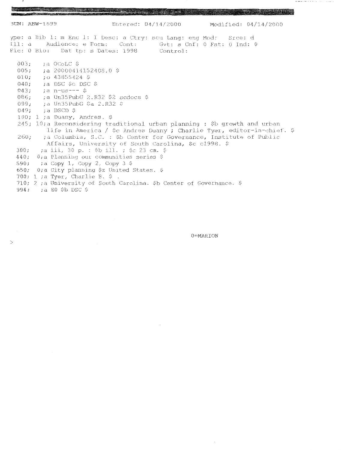**The Communication** 

3CN: ABW-1699 Entered: 04/14/2000 Modified: 04/14/2000 ype: a Bib 1: m Enc 1: I Desc: a Ctry: scu Lang: eng Mod: Srce: d Ill: a Audience: e Form: Cont: Gvt: s Cnf: 0 Fst: 0 Ind: 0 Fic: 0 Bio: Dat tp: s Dates: 1998 Control:  $003;$ ;a OCoLC \$  $005;$  $: a 20000414152408.0$  \$  $:5043855424$  \$  $010;$  $040;$ ;a DSC \$c DSC \$ ;a n-us--- \$  $043;$ ;a Un35PubG 2.R32 \$2 sedocs \$ 086; ;a Un35PubG \$a 2.R32 \$ 099;  $049;$ ;a DSCD \$ 100; 1 ; a Duany, Andres. \$ 245; 10; a Reconsidering traditional urban planning : \$b growth and urban life in America / \$c Andres Duany ; Charlie Tyer, editor-in-chief. \$ 260: ;a Columbia, S.C. : \$b Center for Governance, Institute of Public Affairs, University of South Carolina, \$c c1998. \$ ;a iii, 30 p. : \$b ill. ; \$c 23 cm. \$  $300<sub>r</sub>$ 440; O;a Planning our communities series \$  $\pm a$  Copy 1, Copy 2, Copy 3 \$  $590;$ 650; 0;a City planning \$z United States. \$ 700; 1 ; a Tyer, Charlie B.  $\frac{6}{7}$ . 710; 2 ;a University of South Carolina. \$b Center of Governance. \$ 994; ;a EO \$b DSC \$

a politica de la constitución de la constitución de la constitución de la constitución de la constitución de l

 $\geq$ 

0=MARION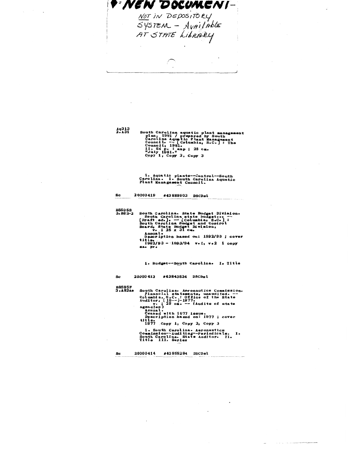9 NEN DOCUMENT NOT IN DEPOSITORY<br>SYSTEM - Available<br>AT STATE Liberary  $\cdot$ i,

 $Aq313$ <br> $2.131$ South Carolina aquatic plant management<br>plan, 1981 / prepared by South<br>Carolina Aquatic Plant Management<br>Council. -- [Columbia, S.C.]: The<br>council, 1981.<br>ii, 54 p. : map; 28 cm.<br>ii, 1981."<br>Copy 1, Copy 2, Copy 3

 $\mathbf{sc}$ 

1. Aquatic plants--Control--South<br>Carolina. I. South Carolina Aquatic<br>Plant Management Council.

20000419 #43889903 DSCDsl B8595B<br>3.B82-2 South Carolina. State Budget Division.<br>
South Carolina state budget.... --<br>
[Draft ed.]. --- [Columbia, S.C.] :<br>
South Carolina Budget and Control<br>
Board, State Budget Division,<br>
ve.; 25 x 31 cm. Annual.<br>
Description based on: 1992/93 ; cover<br>
1892/93 - 1993/94 v.1, v.2 1 copy<br>
1992/93 - 1993/94 v.1, v.2 1 copy 1. Budget-South Carolina. I. Title 20000413 #43843534 DSCDsl Sc **B8595F**<br>3.A82Ae South Carolina, Aeronautics Commission.<br>
Financial statements, unaudited. --<br>
Columbia, SaC: : Office of the State<br>
Auditor, [19--]-1977.<br>
v. : 29 cm. -- (Audits of state<br>
xencies)<br>
Annual.<br>
Annual.<br>
Ceased with 1977 issue title.<br>1977 Copy 1, Copy 2, Copy 3 1. South Carolina. Aeronautics<br>Commission--Auditing--Periodicals. I.<br>South Carolina. State Auditor. II.<br>Title III. Series 20000414 #43855284 DSCDsl Sc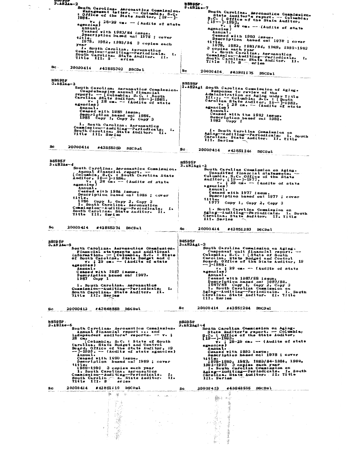$3.482Ae-2$ **B8595P** South Carolina. Aeronautics Commission.<br>
Management letter. -- Columbia, S.C.<br>
: Office of the State Auditor, [19--]-<br>
1984.<br>
v., j 28-29 cm. -- (Audits of state<br>
Agencies)<br>
Annual Total Caroline. Acronautics Commission.<br>
State Auditor's report. -- Columbia,<br>
State Auditor's report. -- Columbia,<br>
State Auditor's report. -- Columbia,<br>
(19--1-1993.<br>
w.: 28 cm. -- (Audits of state<br>
Annual.<br>
Ceased with switch?<br>Annual.<br>Description based on: 1978 ; cover  $\ddot{\mathbf{t}}$ itle.<br>1978, 1982, 1983/84 – 3 copies each Description based on: 1975; cover<br>
iitle, 1978, 1982, 1983/84, 1988, 1991-1993<br>
3 copies each year<br>
1. South Carolina. Aeronautics<br>
Commission--Auditing--Periodicals.<br>
South Carolina. State Auditor. II.<br>
Title III. S eries year year<br>I. South Carolina. Aeronautics<br>Commission--Auditing--Periodicals. I.<br>South Carolina. State Auditor. II.<br>Title III. S - eries 20000414 #43855302 DSCDs L Sc. 20000414. #43851175 DSCDsl Sc B8595F<br>
3.482Agi South Carolina Commission of Aging.<br>
Response to review of the<br>
Administration on Aging under Title<br>
III... - Columbia, S.C.: [South<br>
Carolina State Auditor, 19--1-1982.<br>
v.: 28 cm. -- (Audits of state<br>
An B8595F<br>3.A82Ae-3 South Carolina, Aeronautics Commission,<br>
Comprehensive annual financial<br>
report. -- [Columbia, S.C. : South<br>
Carolina State Auditor, 19-- 1985.<br>
carolina State Auditor, 19-- 1985.<br>
agencies)<br>
agencies) **Iencies)**<br>Aminual.<br>Ceased with 1985 issue.<br>Description based on: 1985, 3<br>1985 Copy 1, Copy 2, Copy 3 1. South Carolina. Aeronautics<br>Commission--Auditing--Periodicals. I.<br>South Carolina. State Auditor. II.<br>Title III. Series 1. South Carolina Commission on<br>Aging--Auditing--Periodicals. I. South<br>Carolina. State Auditor. II. Title<br>III. Series 20000414 #43855359 DSCDsL Sc Sc. 20000414 #43851246 DSCDsl B8595F<br>
3.482Agi-2<br>
South Carolina Commission on Aging.<br>
Unaudited financial statements.<br>
Columbia, S.C. Office of the State<br>
Auditor, 18-0, -- (Audits of state<br>
agencies)<br>
Annual. 1977 issue. B8595F<br>3.A82Ae-4 4<br>
South Carolina. Aeronautics Commission.<br>
Annual financial report. --<br>
[Columbia, S.C.: South Carolina State<br>
v.: 28 cm. -- (Audits of state<br>
v.: 28 cm. -- (Audits of state<br>
manual.<br>
Sagnoiss)<br>
Annual.<br>
Cassed with 1986 gentius)<br>Ceased with 1977 issue.<br>Description based on: 1977 ; cover tle.<br>1977 Copy 1, Copy 2, Copy 3 1. South Carolina Commission on<br>Aging--Auditing--Periodicals. I. South<br>Carolina. State Auditor. II. Title<br>III. Series Sc 20000414 #43855374 DSCDsl 20000414 #43851283 DSCDsl Sc 88595F<br>3.A82Agi-3 B859 5F<br>3• A8 2Ae−5 3<br>
South Carolina Commission on Aging.<br>
Component unit financial report. --<br>
Columbia, S.C. : (State of South<br>
Carolina, State Budget and Control<br>
Board, Office of the State Auditor, 19<br>
Theodic of the State Auditor, 19 South Carolina. Aeronautics Commission.<br>
South Carolina.  $-$  (Columbia, S.C. : State<br>
information.  $-$  (Columbia, S.C. : State<br>
of South Carolina, State Budget and C<br>
v. : 29 cm. -- (Audits of state<br>
agencies) Board, Office of the State Auditor,<br>--  $]-1988$ .<br>agencies) 29 cm. -- (Audits of state<br>agencies) Tenute.<br>Ceased with 1987 issue.<br>Description based on: 1987.<br>1987 Copy 1 agencies)<br>
Annual<br>
Ceased with 1987/88 issue.<br>
Description based on: 1987/88.<br>
1987/88 Copy 1, Copy 2, Copy 3<br>
1. South Carolina Commission on<br>
Aging--auditing--periodicals. 1. S<br>
Carolina. State Auditor. II. Title<br>
III. S 1. South Carolina. Aeronautics<br>Commission--Auditing--Periodicals.<br>South Carolina. State Auditor. II.<br>Title III. Series South 20000414 #43851294 DSCDsl 20000413 #43848889 DSCDsl Sc  $\mathbf{S}$  c B8595F<br>
3.4824gi-4<br>
South Carolina Commission on Aging.<br>
State Auditor's report. -- Columbia,<br>  $S_1C_2$ : Office of the State Auditor,<br>  $\begin{bmatrix}\n19 & -1993 \\
19 & -1993\n\end{bmatrix}$ <br>
v. 328-29 cm. -- (Audits of state<br>
agencies)<br>
Annua B8595F<br>3.A82Ae-6 S<br>
South Carolina. Aeronautics Commission.<br>
Annual financial report... and<br>
independent auditors' reports. --- v.;<br>
28 Cm.<br>
Columbia, State Budget and Control<br>
Board, Office of the State Auditor, 19<br>
---1990. -- (Audits of 20000414 #43851110 DSCDsl 20000413 #43843555 DSCDsl **Sc Sc** š, .  $\hat{Q}^{(1)}$ Yan S  $15 - 65$  $\tilde{\mathcal{R}}$ 爹 

 $\sim$   $\sim$ 

8 ن

 $\frac{1}{2\sqrt{2}}$  ,  $\frac{1}{2}$ 

ý.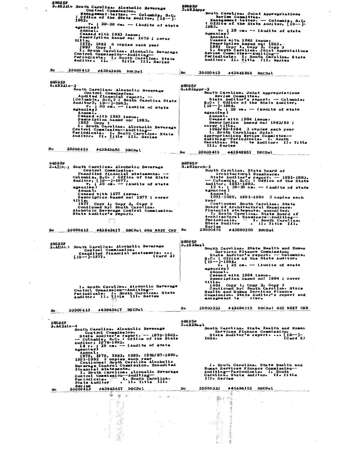B8585P<br>
3.482Alc South Carolina. Alcoholic Beverage<br>
control Commission.<br>
inagement letter. -- Columbia, S.C.<br>
i0ffice of the State Auditor, [19--]-<br>
1983.<br>
annual.<br>
and 1979 : 02866 with 1983 issue.<br>
Ceased with 1983 issu **B8595F**<br>3.A82Appr South Carolinas Joint Appropriations<br>
Review:Committee.<br>
Management:letter. -- Columbia, S.C.<br>: Office of the State Auditor, [19--]-<br>4000. :  $\overline{0.111}$  cof the State Auditor,  $\lfloor 19--\rfloor$ <br>1983.<br>v. ; 29 cm. -- (Audits of state<br>camerical)<br>Censed with 1983 issue.<br>Description based on: 1983.<br>1983 copy 1, Copy 2, Copy 3<br>1983 copy 1, Copy 2, Copy 3<br>seview Commit Description based on: 1979 ; cover<br>title.<br>1979, 1982 3 copies each year<br>1983 Copy 1<br>1883 Copy 1<br>1. South Carolina. Alcoholic Beverage<br>Control Commission--Auditing-<br>Periodicals. I. South Carolina. State<br>Auditor. II. Title I Sc 20000413 #43843606 DSCDsl  $|<sub>sc</sub>$ 20000413 #43848868 DSCDsl BS595F<br>
South Carolina Micoholic Beverage<br>
Control Commission.<br>
(Columbia, Sec.?: South Carolina State<br>
Auditor?: 19--1-1983.<br>
200016.0002.00016.00016.00016.00016.00016.00016.00016.00016.00016.00016.00016.00016.00016.00016  $18595F$   $3.1824ppr-2$ South Carolina. Joint Appropriations<br>
State Auditor's report. -- Columbia,<br>
State Auditor's report. -- Columbia,<br>
State Auditor's report. -- Columbia,<br>  $5.0 \cdot 1$  -1884e<br>
V. 129 Cm. -- (Audits of stat **Sc** 20000413 #43843650 DSCDsl  $20000413$   $*43848851$  DSCDsl 80 BS595F<br>
3.4324<sub>ic-3</sub> South Carolina. Alcoholic Beverage<br>
Control Commission.<br>
Unaudited financial statements. --<br>
Columbia, S.C. : Office of the State<br>
Auditor, [19--]-1977.<br>
V<sub>2</sub> 29 cm. -- (Audits of state<br>
agencies)<br>
An B8595F<br>3.A82Arch-2 h-2<br>
South Carolina. State Board of<br>
Architectural Examiners.<br>
-State Auditor's report. -- 1981-1993.<br>
-- Columbia, S.C.: Office of the State<br>
Auditor, 1981-1993.<br>
197.: 28-29 cm. -- (Audits of state<br>
agencies)<br>
Annual.<br>
1 agencies)<br>
Annual.<br>
Ceased with 1977 issue.<br>
Ceased with 1977 issue.<br>
1977 copy 1. Copy 2. Copy 3<br>
1977 Copy 1. Copy 2. Copy 3<br>
Continued by: South Carolina.<br>
Alchold Beverage Control Commission.<br>
State Auditor's report. Pal-1989, 1991-1999 vertections of the Continues:<br>
Fast Continues: South Carolina . State Board of Architectural Examiners.<br>
Hannelal statements, unaudited.<br>
I. South Carolina. State Board of the Board of Architectural Exa Series<br>20000419 #43890209 DSCDal Sc 20000413 #43843617 DSCDs1 SEE NEIT CED Sc **B8595F**<br>3.A82Heal B8595F<br>3.A22Ak.3 South Carolina. Alcoholic Beverage<br>Unaudited financial statements...<br>(Card 2)<br>1977. [1977] l<br>
South Carolina. State Health and Human<br>
Services Finance Commission.<br>
State Auditor's report. -- Columbia,<br>
SeC.: 10ffice of the State Auditor,<br>  $\begin{array}{r} 19-]-1984. \\ \text{We: } 29 \text{ can } -- \text{ (Audits of state)} \end{array}$ <br>
agencies)<br>
Annual.<br>
Ce l. South Carolina. Alcoholic Beverage<br>Control Commission-Auditing--<br>Periodicals. I. South Carolina. State<br>Auditor. II. Title III. Series 20000323 #43696115 DSCDs1 SEE NEIT CED. Sc 20000413 #43843617 DSCDsl  $\mathbf{S}$ c. BSS95F<br>
3.A82Alc-4<br>
South Carolina. Alcoholic Beverage<br>
Control Commission.<br>
1678-1992.<br>
- Columbia, Sc.: 0ffice of the State<br>
Auditor; 1978-1992.<br>
14 v., 1978-1992.<br>
14 v., 29 cm. -- (Audits of state<br>
agencies)<br>
Annual.<br> **B8595F<br>3.A82Heal** South Carolina. State Health and Human<br>Services Finance Commission.<br>State Auditor's report.... (19---)<br>1984. (Card 2) 1. South Carolina. State Bealth and<br>Human Services Finance Commission---<br>Auditing--Periodicals. I. South<br>Carolina. State Auditor. II. Title<br>III. Series 20000323 #43696115 DSCDsl Sc - 36 奏  $\rightarrow$  $\frac{100}{1000}$  ,  $\frac{100}{100}$ Ŧ. - 3 

感

 $\sim$   $\sim$ 

그 풀리

 $\dot{\gg}$ 

-3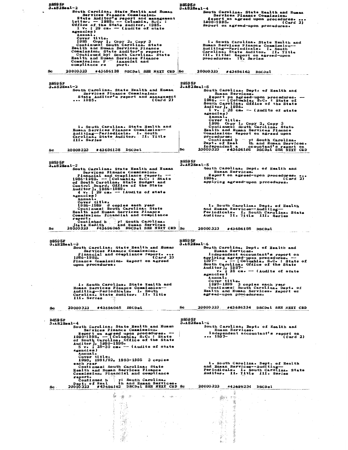| B859 5.P<br>$3.482$ Heal-2                                                                                                                                                                                                                                                                                  | <b>B8595F</b><br>$3 - AB2$ Heal-4                                                                                                                                                                                                     |
|-------------------------------------------------------------------------------------------------------------------------------------------------------------------------------------------------------------------------------------------------------------------------------------------------------------|---------------------------------------------------------------------------------------------------------------------------------------------------------------------------------------------------------------------------------------|
| South Carolina. State Health and Human<br>Services Finance Commission.<br>State Auditor's report and management<br>letter. -- 1985. -- Columbia, S.C. :                                                                                                                                                     | South Carolina. State Health and Human<br>Services Finance Commission.<br>Report on agreed upon procedures.<br>1990-1995.<br>(Card 2)                                                                                                 |
| Office of the State Auditor, 1985.<br>1 v. ; 29 cm. - (Audits of state<br>agencies)<br>Annual.                                                                                                                                                                                                              | Report on agreed-upon procedures.                                                                                                                                                                                                     |
| Cover title.<br>1985 Copy 1, Copy 2, Copy 3<br>Continues: South Carolina. State<br>Health and Human Services Finance                                                                                                                                                                                        | 1. South Carolina. State Health and<br>Human Services Finance Commission--<br>Auditing--Periodicals. I. South                                                                                                                         |
| Commission. State Auditor's report.<br>Continued by: South Carolina. State<br><b>Health and Human Services Finance</b><br>Commission. F<br>inancial and                                                                                                                                                     | Carolina. State Auditor. II. Title<br>III. Title: Report on agreed-upon<br>procedures. IV. Series                                                                                                                                     |
| compliance re<br>port.<br>20000323<br>#43696138 DSCDsl SEB NEXT CRD Sc<br>Sc                                                                                                                                                                                                                                | 20000323<br>#43696162<br><b>DSCDsl</b>                                                                                                                                                                                                |
|                                                                                                                                                                                                                                                                                                             |                                                                                                                                                                                                                                       |
| B859 5.P<br>$3.482$ Heal-2<br>South Carolina. State Health and Human                                                                                                                                                                                                                                        | B859 5F<br>$3 - AB2$ Heal-5<br>South Carolina. Dept. of Health and                                                                                                                                                                    |
| Services Finance Commission.<br>State Auditor's report and management<br>1985.<br>(Card 2)                                                                                                                                                                                                                  | Human Services.<br>Report on agreed-upon procedures. ---<br>1996. -- [Columbia, S.C. : State of<br>South Carolina, Office of the State<br>$\frac{\text{Auditor}}{\text{1 v}}$ , 1996.<br>1 v.; 28 cm. - (Audits of state<br>agencies) |
| 1. South Carolina. State Health and<br>Human Services Finance Commission--                                                                                                                                                                                                                                  | Annual.<br>Cover title.<br>1996 Copy 1, Copy 2, Copy 3<br>Continues: South Carolina, State<br>Health and Human Services Finance                                                                                                       |
| Auditing-Periodicals. I. South<br>Carolina. State Auditor. II. Title<br>III. Series                                                                                                                                                                                                                         | Commission. Report on agreed upon<br>pro cedures.<br>Continued b y: South Carolina.                                                                                                                                                   |
| #43696138 DSCDsl<br>20000323<br>Sc                                                                                                                                                                                                                                                                          | Dept. of Heal<br>th and Human Services.<br>Independent a<br>ccountant's report on<br>Sc<br>20000323 #43696195 DSCDs1 SEE NEXT CED                                                                                                     |
| <b>B859 5F</b>                                                                                                                                                                                                                                                                                              | B859 5F                                                                                                                                                                                                                               |
| $3.182$ Heal-3<br>South Carolina. State Health and Human<br>Services Finance Commission.                                                                                                                                                                                                                    | $3 - 482$ Heal-5<br>South Carolina. Dept. of Health and<br>Human Services.<br>Report on agreed-upon procedures.                                                                                                                       |
| Financial and compliance report. --<br>1986-1989. -- [Columbia, S.C. : State<br>of South Carolina, State Budget and<br>Control Board, Office of the State<br>Auditor J, 1986-1989.<br>4 v. 29 cm. -- (Audits of state<br>agencies)                                                                          | 1996.<br>(Card 2)<br>applying agreed-upon procedures.                                                                                                                                                                                 |
| Annual.<br>Cover title.<br>3 copies each year<br>1986–1989                                                                                                                                                                                                                                                  | 1. South Carolina. Dept. of Health                                                                                                                                                                                                    |
| Continues: South Carolina. State<br>Health and Human Services Finance<br>Commission. Financial and compliance                                                                                                                                                                                               | and Human Services--Auditing-<br>Periodicals. I. South Carolina. State<br>Auditor. II. Title III. Series                                                                                                                              |
| report.                                                                                                                                                                                                                                                                                                     |                                                                                                                                                                                                                                       |
| Continued b by: South Carolina.<br>Continued b and Human Services<br>and Human Services<br>State Health                                                                                                                                                                                                     |                                                                                                                                                                                                                                       |
| $20\bar{0}0\bar{0}3\bar{2}3$ #43696065 DSCDsl SEE NEXT CED Sc<br>Sc                                                                                                                                                                                                                                         | 20000323<br>#43696195 DSCDsl                                                                                                                                                                                                          |
| B8595P<br>$3 - AB2$ Heal-3<br>South Carolina. State Health and Human                                                                                                                                                                                                                                        | B 859 5F<br>3.A82Heal-6<br>South Carolina. Dept. of Health and                                                                                                                                                                        |
| Services Finance Commission.<br>Financial and compliance report.<br>1986–1989.<br>(Card 2)<br>Finance Commission. Report on agreed<br>upon procedures.                                                                                                                                                      | Human Services.<br>Independent accountant's report on<br>applying agreed-upon procedures. --<br>1997- . -- [Columbia, S.C. : State of<br>South Carolina, Office of the State                                                          |
|                                                                                                                                                                                                                                                                                                             | Auditor], $1997-$<br>v. $28$ cm. -- (Audits of state<br>agencies)<br>Annual.                                                                                                                                                          |
| 1. South Carolina. State Health and<br>Human Services Finance Commission--<br>Auditing-Periodicals. I. South<br>Carolina. State Auditor. II. Title<br>III. Series                                                                                                                                           | Cover title.<br>1997-1999 3 copies each year<br>Continues: South Carolina. Dept. of<br>Health and Human Services. Report on<br>agreed-upon procedures.                                                                                |
| #43696065 DSCDsL<br>20000 323<br>Sc.                                                                                                                                                                                                                                                                        | Sc<br>20000323 #43696234 DSCDs1 SEE NEXT CRD                                                                                                                                                                                          |
| <b>B8595F</b>                                                                                                                                                                                                                                                                                               | <b>B8595F</b><br>$3 - AB2$ Heal-6                                                                                                                                                                                                     |
| $3.182$ Heal-4<br>South Carolina. State Health and Human<br>Services Finance Commission.<br>Report on agreed upon procedures. --<br>1990-1995. -- [Columbia, S.C. : State<br>of South Carolina, Office of the State<br>Auditor], 1990-1995.<br>5 v. ; 28-30 cm. -- (Audits of state<br>agencies)<br>Annual. | South Carolina. Dept. of Health and<br>Human Services.<br>Independent accountant's report on<br>$ 1997 -$<br>(Card 2)                                                                                                                 |
| Cover title.<br>1990, 1991/92, 1993-1995 3 copies<br>each year                                                                                                                                                                                                                                              | 1. South Carolina. Dept. of Health                                                                                                                                                                                                    |
| Continues: South Carolina. State<br>Health and Human Services Finance<br>Commission. Financial and compliance<br>raport.                                                                                                                                                                                    | and Human Services--Auditing-<br>Periodicale. I. South Carolina. State<br>Auditor. II. Title III. Series                                                                                                                              |
| Continued b y: South Carolina.<br>Dept. of Heal th and Human Services.<br>20000323 #43696162 DSCDsl SEE NEIT CED Sc<br>Sc.                                                                                                                                                                                  | 20000323 #43696234 DSCDsl                                                                                                                                                                                                             |
| ※ ※ ※<br><b>Contract Contract</b><br>and the state of the state of the                                                                                                                                                                                                                                      | 蒼<br>$\mathcal{P} \rightarrow \mathcal{P}$ .<br>$\sim$                                                                                                                                                                                |
| $\sim 10^7$ .                                                                                                                                                                                                                                                                                               | İ,                                                                                                                                                                                                                                    |
| Ĩå<br>‡ŵ                                                                                                                                                                                                                                                                                                    | $\mathcal{G}_{\mathcal{A}}$<br>$\ddot{\phantom{a}}$                                                                                                                                                                                   |
| 地震。<br>机活成化                                                                                                                                                                                                                                                                                                 | <b>Contractor Contractor</b><br>사황원                                                                                                                                                                                                   |

 $\ddot{\phantom{0}}$ 

 $\frac{1}{2}$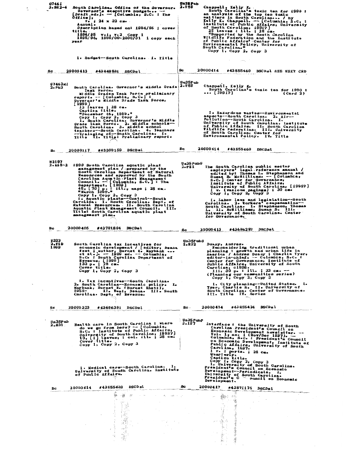| G7461<br>$3 - 882 - 4$       | South Carolina. Office of the Governor.<br>Governor's executive budget --<br>[Draft ed. ]. - [Columbia, S.C. : The<br>Office j,<br>$v_0$ ; 24 x 32 cm.<br>Annual.<br>Description based on: 1994/95 ; cover<br>title.<br>$1994/95$ v.1, v.2 Copy 1<br>1995/96, 1999/00-2000/01 1 copy each<br>year                                                                                                                                                                                                                                                     | Un35 Pub<br>2.T59<br>Chappell, Kelly K.<br>South Carolina's toxic ten for 1990 :<br>an analysis of the top ten toxic<br>emitters in South Carolinasss / by<br>Kelly K. Chappell. -- [Columbia, S.C. :<br>Institute of Public Affairs, University<br>of South Carolina, 1991?]<br>25 leaves : ill. ; 28 cm.<br>"Supported by the South Carolina<br>Wildlife Federation and the Institute<br>of Public Affairs' Center for<br>Environmental Policy, University of<br>South Carolina."<br>Copy 1, Copy 2, Copy 3         |
|------------------------------|-------------------------------------------------------------------------------------------------------------------------------------------------------------------------------------------------------------------------------------------------------------------------------------------------------------------------------------------------------------------------------------------------------------------------------------------------------------------------------------------------------------------------------------------------------|-----------------------------------------------------------------------------------------------------------------------------------------------------------------------------------------------------------------------------------------------------------------------------------------------------------------------------------------------------------------------------------------------------------------------------------------------------------------------------------------------------------------------|
| 8c                           | l. Budget--South Carolina. I. Title<br>20000413<br>#43848831<br><b>DSCDs L</b>                                                                                                                                                                                                                                                                                                                                                                                                                                                                        | Sc<br>20000414<br>#43855460 DSCDsl SEE NEXT CRD                                                                                                                                                                                                                                                                                                                                                                                                                                                                       |
| G7463Mi<br>2. P63            | South Carolina. Governor's Middle Grade<br>Task Force.<br>Middle Grades Task Force preliminary<br>report. -- [Columbia, S.C.] :<br>Governor's Middle Grade Task Force,                                                                                                                                                                                                                                                                                                                                                                                | Un35Pub<br>2.159<br>Chappell, Kelly K.<br>South Carolina's toxic ten for 1990 :<br>$\cdots$ [1991?]<br>(Card 2)                                                                                                                                                                                                                                                                                                                                                                                                       |
|                              | [1999 ]<br>13 leaves ; 28 cm.<br>Caption title.<br>"December 16, $1999*$ "<br>Copy 1, Copy 2, Copy 3<br>1. South Carolina. Governor's Middle<br>Grade Task Force. 2. Middle schools--<br>South Carolina. 3. Middle school<br>teachers--South Carolina. 4. Teachers<br>--Trainging of--South Carolina. I.<br>Title II. Title: Preliminary report.                                                                                                                                                                                                      | 1. Hazardous wastes--Environmental<br>aspects--South Carolina. 2. Air--<br>Pollution--South Carolina. I.<br>University of South Carolina. Institute<br>of Public Affairs. II. South Carolina<br>Wildlife Pederation. III. University<br>of South Carolina. Center for<br>Environmental Policy. IV. Title                                                                                                                                                                                                              |
| Sc                           | #43300159 DSCDsl<br>20000117                                                                                                                                                                                                                                                                                                                                                                                                                                                                                                                          | 20000414<br>Sc<br>#43855460 DSCDsl                                                                                                                                                                                                                                                                                                                                                                                                                                                                                    |
| N 2197                       | 2.A68-2 1999 South Carolina aquatic plant<br>management plan / prepared by the<br>South Carolina Department of Natural<br>Resources and approved by the South<br>Carolina Aquatic Plant Management<br>Council. -- [Columbia, S.C.]: The<br>Department, [1999]<br>45, [70] p. : ill., maps ; 28 cm.<br>"March 1999."<br>Copy 1, Copy 2, Copy 3<br>1. Aquatic plants--Control--South<br>Carolina: I. South Carolina. Dept. of<br>Natural Resources. II. South Carolina<br>Aquatic Plant Management Council. III.<br>Title: South Carolina aquatic plant | Un35 PubG<br>The South Carolina public sector<br>2.P81<br>employers' legal reference manual /<br>edited by: Thomas L. Stephenson and<br>Susan B. McWilliams. -- [Columbia,<br>S.C. ] Center for Governance,<br>Institute of Public Affairs,<br>University of South Carolina, [1995?]<br>$1$ v. (various pagings) ; 30 cm.<br>Copy $1$ , Copy $2$ , Copy 3<br>1. Labor laws and legislation-South<br>Carolina. 2. Workers' compensation--<br>South Carolina. I. Stephenson, Ihomas<br>L. II. McTilliams, Susan B. III. |
| Sc                           | management plan.<br>20000405<br>#43781804 DSCDsl                                                                                                                                                                                                                                                                                                                                                                                                                                                                                                      | University of South Carolina. Center<br>for Governance.<br>#43686287 DSCDsl                                                                                                                                                                                                                                                                                                                                                                                                                                           |
|                              |                                                                                                                                                                                                                                                                                                                                                                                                                                                                                                                                                       | 20000413<br>Sc                                                                                                                                                                                                                                                                                                                                                                                                                                                                                                        |
| <b>E322</b><br>2.T19<br>1999 | South Carolina tax incentives for<br>economic development / [editor, Deana<br>West ; author, Burnet R. Maybank<br>et al. ]. -- 1999 ed. -- Columbia,<br>S.C. : South Carolina Department of<br>Revenue, [1999]<br>133 p. : 28 cm.<br>Cover title.<br>Copy 1, Copy 2, Copy 3                                                                                                                                                                                                                                                                           | <b>Un35Р ubG</b><br>2.R32<br>Duany, Andres.<br>Reconsidering traditional urban<br>planning : growth and urban life in<br>America / Andres Duany ; Charlie Tyer,<br>editor-in-chief. -- Columbia, S.C. :<br>Center for Governance, Institute of<br>Public Affairs, University of South<br>Carolina, c1998.<br>111, 30 p. : 111. : 23 cm.<br>(Planning our communities series)<br>Copy 1, Copy 2, Copy 3                                                                                                                |
|                              | 1. Tax incentives--South Carolina.<br>2. South Carolina--Economic policy. I.<br>Maybank, Burnet R. (Burnet Rhett),<br>1955- II. West, Deana. III. South<br>Carolina. Dept. of Revenue.                                                                                                                                                                                                                                                                                                                                                                | 1. City planning--United States. I.<br>Tyer, Charlie B. II. University of<br>South Carolina. Center of Governance.<br>III. Title IV. Series                                                                                                                                                                                                                                                                                                                                                                           |
| Sc.                          | 20000323<br>#43696391 DSCDsl                                                                                                                                                                                                                                                                                                                                                                                                                                                                                                                          | #43855424 DSCDsl<br>20000414<br>$\mathbf{Sc}$ .<br>and different monocolinations with a case                                                                                                                                                                                                                                                                                                                                                                                                                          |
| Un35Pub<br>2.831             | Health care in South Carolina : where<br>do we go from here? -- [Columbia,<br>S.C. : Institute of Public Affairs,<br>University of South Carolina, 1992?]<br>13, [1] leaves, : col. ill. ; 28 cm.<br>Cover title.<br>Copy 1, Copy 2, Copy 3                                                                                                                                                                                                                                                                                                           | $yn35$ PubP<br>3.157<br>Interface: the University of South<br>Carolina President's Council on<br>Economic Development newsletter. --<br>Sconomas Development and Columbia, S.C. : President's Council<br>Columbia, S.C. : President's Council<br>on Economic Development, Institute of<br>Public Affairs, University of South<br>Carolina, 1997.<br>$1 \nvert v_0$ : ports. ; 28 cm.<br>Quart orly.<br>Caption title.                                                                                                 |
|                              | 1. Medical care--South Carolina. I.<br>University of South Carolina. Institute<br>of Public Affairs.                                                                                                                                                                                                                                                                                                                                                                                                                                                  | Copy 1, Copy 2, Copy 3<br>1. University of South Carolina.<br>President's Council on Reonomic<br>Development--Periodicals. I.<br>University of South Carolina.<br>President's C ouncil on Boonomic<br>Development.                                                                                                                                                                                                                                                                                                    |
| Sc                           | #43855439 DSCDsl<br>20000414<br>A.<br>$\psi \rightarrow \psi$<br>$-3^\circ$<br>contract the contract of the state of the                                                                                                                                                                                                                                                                                                                                                                                                                              | Sc .<br>20000417<br>#43871175 DSCDsl<br>المستخلف والمستنسب<br>21<br>You sa                                                                                                                                                                                                                                                                                                                                                                                                                                            |
|                              | 74 F.Z<br>$\sim$ 100 $\mu$<br>重                                                                                                                                                                                                                                                                                                                                                                                                                                                                                                                       | 计图象                                                                                                                                                                                                                                                                                                                                                                                                                                                                                                                   |

 $\frac{1}{2} \left( \frac{1}{2} \right)$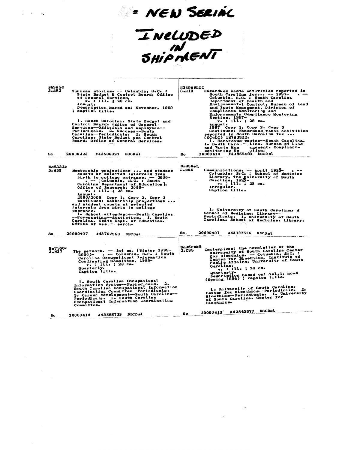INELUDED<br>SHIPMENT

- NEW SERIAL

| <b>B8595G</b><br>3. S82<br>Success stories. -- Columbia, S.C. :<br>State Budget & Control Board, Office<br>of General Services,<br>v. : ill. ; 28 cm.<br>Annual.<br>Description based on: November, 1999<br>; caption title.<br>1. South Carolina. State Budget and<br>Control Board. Office of General<br>Services--Officials and employees--<br>Periodicals. 2. Success--South<br>Carolina--Periodicals. I. South<br>Carolina. State Budget and Control<br>Board. Office of General Services.<br>20000323<br>#43696327 DSCDsl<br>Sc.                                                              | <b>H3496ELCC</b><br>3.H19<br>Hazardous waste activities reported in<br>South Carolina for -- 1997-<br>Columbia, S.C. : South Carolina<br>Department of Health and<br>Environmental Control, Bureau of Land<br>and Waste Managment, Division of<br>Compliance Monitoring and<br>Enforcement, Compliance Montoring<br>Section, 1997-<br>$v_i$ : ill. ; 28 cm.<br>Annual.<br>1997 Сору 1, Сору 2, Сору 3<br>Continues: Hazardous waste activities<br>reported in South Carolina for<br>$(0$ CoLC $)$ 18783522.<br>1. Hazardous wastes--South Carolina.<br>I. South Caro  Lina. Bureau of Land<br>and Waste Man<br>agement. Compliance<br>ction.<br><b>Monitoring Se</b><br>20000414 #43855493 DSCDsl<br>Sc. |
|-----------------------------------------------------------------------------------------------------------------------------------------------------------------------------------------------------------------------------------------------------------------------------------------------------------------------------------------------------------------------------------------------------------------------------------------------------------------------------------------------------------------------------------------------------------------------------------------------------|----------------------------------------------------------------------------------------------------------------------------------------------------------------------------------------------------------------------------------------------------------------------------------------------------------------------------------------------------------------------------------------------------------------------------------------------------------------------------------------------------------------------------------------------------------------------------------------------------------------------------------------------------------------------------------------------------------|
| <b>Ed8332R</b><br>3. м35<br>Membership projections  and student<br>counts at selected intervals from<br>birth to college entrance. - 2000-<br>$-$ [Columbia, S.C. : South<br>Carolina Department of Education],<br>Office of Research, 2000-<br>$\mathbf{v}$ .: ill.: 28 cm.<br>Annual.<br>2000/2005 Copy 1, Copy 2, Copy 3<br>Continues: Membership projections<br>and student counts at selected<br>intervals from birth to college<br>entrance.<br>1. School attendance--South Carolina<br>--Forecasting--Statistics. I. South<br>Carolina. State Dept. of Education.<br>Office of Res or earch. | Un35Mel<br>3.C55<br>Communications. -- April 1995-<br>Columbia, S.C. : School of Medicine<br>Library, the University of South<br>Carolina, 1995-<br>$v_0$ : ill. ; 28 cm.<br>Irregular.<br>Caption title.<br>1. University of South Carolina. d<br>School of Medicine. Library--<br>Periodicals. I. University of South<br>Carolina. School of Medicine. Library.                                                                                                                                                                                                                                                                                                                                        |
| 20000407<br>#43797568 DSCDsl<br>Sc.                                                                                                                                                                                                                                                                                                                                                                                                                                                                                                                                                                 | 20000407<br>Sc.<br>#43797516 DSCDsl                                                                                                                                                                                                                                                                                                                                                                                                                                                                                                                                                                                                                                                                      |
| в≡7350с<br>The network. - 1st ed. (Winter 1999-<br>3.837<br>$2000$ )- . - Columbia, S.C. : South<br>Carolina Occupational Information<br>Coodinating Committee, 1999-<br>v. : ill. ; 28 cm.<br>Quarterly.<br>Caption title.<br>1. South Carolina Occupational<br>- 2.<br>Information System--Periodicals.<br>South Carolina Occupational Information<br>Coordinating Committee--Periodicals.<br>3. Career development--South Carolina--<br>Periodicals. I. South Carolina<br>Occupational Information Coordinating<br>Committee.                                                                    | un35PubB<br>Centerpiece: the newsletter of the<br>University of South Carolina Center<br>3.C35<br>for Bloethics. - Columbia, S.C. :<br>Center for Bicethics, Institute of<br>Public Affairs, University of South<br>Carolina,<br>$v6$ : ill. ; 28 cm.<br>Quarterly.<br>Description based on: Vol.i, no.4<br>(Spring 1996) ; caption title.<br>1. University of South Carolina.<br>2.<br>Center for Bloethics--Periodicals.<br>Bioethics-Periodicals. I. University<br>of South Carolina. Center for<br><b>Bioethics.</b><br><b>DSCDsl</b><br>#43843577                                                                                                                                                   |
| #43855739 DSCDsl<br>20000414<br>Sc                                                                                                                                                                                                                                                                                                                                                                                                                                                                                                                                                                  | 20000413<br>Sc                                                                                                                                                                                                                                                                                                                                                                                                                                                                                                                                                                                                                                                                                           |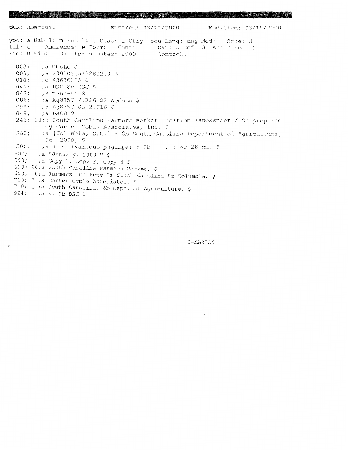BUN: ABW-0841 Entered: 03/15/2000 Modified: 03/15/2000 ype: a Bib 1: m Enc 1: I Desc: a Ctry: scu Lang: eng Mod: Srce: d Ill: a Audience: e Form: Cont: Gvt: s Cnf: 0 Fst: 0 Ind: 0 Fic: 0 Bio: Dat tp: s Dates: 2000 Control:  $003;$ ;a OCoLC \$  $005:$  $: a 20000315122802.0$  \$  $010;$  $: 0.43636335$ \$ ; a DSC \$c DSC \$  $040;$  $043:$ ;a n-us-sc \$  $086;$ ;a Ag8357 2.F16 \$2 sedocs \$ 099; :a Ag8357 \$a 2.F16 \$  $049;$ ;a DSCD \$ 245; 00; a South Carolina Farmers Market location assessment / \$c prepared by Carter Goble Associates, Inc. \$ ;a [Columbia, S.C.] : \$b South Carolina Department of Agriculture,  $260;$  $$c$  [2000] \$ ;a 1 v. (various pagings) : \$b ill. ; \$c 28 cm. \$  $300:$  $500;$ ;a "January, 2000." \$  $590<sub>i</sub>$  $: a \text{ Copy } 1, \text{ Copy } 2, \text{ Copy } 3 \text{ } $$ 610; 20; a South Carolina Farmers Market. \$ 650; 0; a Farmers' markets \$z South Carolina \$z Columbia. \$ 710; 2 ;a Carter-Goble Associates. \$ 710; 1 ;a South Carolina. \$b Dept. of Agriculture. \$  $994:$  : a EO \$b DSC \$

 $\geq$ 

0=MARION